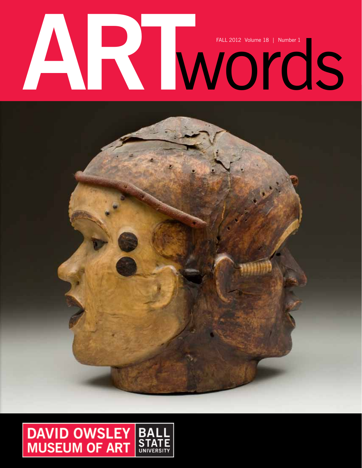# FALL 2012 Volume 18 | Number 1

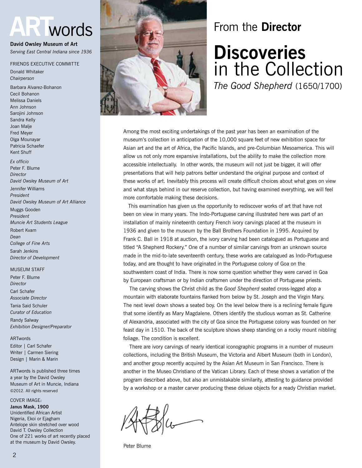# **ART**words

**David Owsley Museum of Art** *Serving East Central Indiana since 1936*

Friends Executive Committe

Donald Whitaker *Chairperson*

Barbara Alvarez-Bohanon Cecil Bohanon Melissa Daniels Ann Johnson Sarojini Johnson Sandra Kelly Joan Malje Fred Meyer Olga Mounayar Patricia Schaefer Kent Shuff *Ex officio*

Peter F. Blume *Director David Owsley Museum of Art* Jennifer Williams *President*

*David Owsley Museum of Art Alliance*

Muggs Gooden *President Muncie Art Students League* Robert Kvam *Dean*

*College of Fine Arts* Sarah Jenkins *Director of Development*

#### **MUSEUM STAFF**

Peter F. Blume *Director* Carl Schafer *Associate Director* Tania Said Schuler

*Curator of Education* Randy Salway *Exhibition Designer/Preparator*

#### ARTwords

Editor | Carl Schafer Writer | Carmen Siering Design | Marin & Marin

ARTwords is published three times a year by the David Owsley Museum of Art in Muncie, Indiana ©2012. All rights reserved

#### COVER IMAGE:

**Janus Mask, 1900**  Unidentified African Artist Nigeria, Ekoi or Ejagham Antelope skin stretched over wood David T. Owsley Collection One of 221 works of art recently placed at the museum by David Owsley.



# From the **Director**

# **Discoveries** in the Collection

*The Good Shepherd* (1650/1700)

Among the most exciting undertakings of the past year has been an examination of the museum's collection in anticipation of the 10,000 square feet of new exhibition space for Asian art and the art of Africa, the Pacific Islands, and pre-Columbian Mesoamerica. This will allow us not only more expansive installations, but the ability to make the collection more accessible intellectually. In other words, the museum will not just be bigger, it will offer presentations that will help patrons better understand the original purpose and context of these works of art. Inevitably this process will create difficult choices about what goes on view and what stays behind in our reserve collection, but having examined everything, we will feel more comfortable making these decisions.

 This examination has given us the opportunity to rediscover works of art that have not been on view in many years. The Indo-Portuguese carving illustrated here was part of an installation of mainly nineteenth century French ivory carvings placed at the museum in 1936 and given to the museum by the Ball Brothers Foundation in 1995. Acquired by Frank C. Ball in 1918 at auction, the ivory carving had been catalogued as Portuguese and titled "A Shepherd Rockery." One of a number of similar carvings from an unknown source made in the mid-to-late seventeenth century, these works are catalogued as Indo-Portuguese today, and are thought to have originated in the Portuguese colony of Goa on the southwestern coast of India. There is now some question whether they were carved in Goa by European craftsman or by Indian craftsmen under the direction of Portuguese priests.

 The carving shows the Christ child as the *Good Shepherd* seated cross-legged atop a mountain with elaborate fountains flanked from below by St. Joseph and the Virgin Mary. The next level down shows a seated boy. On the level below there is a reclining female figure that some identify as Mary Magdalene. Others identify the studious woman as St. Catherine of Alexandria, associated with the city of Goa since the Portuguese colony was founded on her feast day in 1510. The back of the sculpture shows sheep standing on a rocky mount nibbling foliage. The condition is excellent.

 There are ivory carvings of nearly identical iconographic programs in a number of museum collections, including the British Museum, the Victoria and Albert Museum (both in London), and another group recently acquired by the Asian Art Museum in San Francisco. There is another in the Museo Christiano of the Vatican Library. Each of these shows a variation of the program described above, but also an unmistakable similarity, attesting to guidance provided by a workshop or a master carver producing these deluxe objects for a ready Christian market.

Peter Blume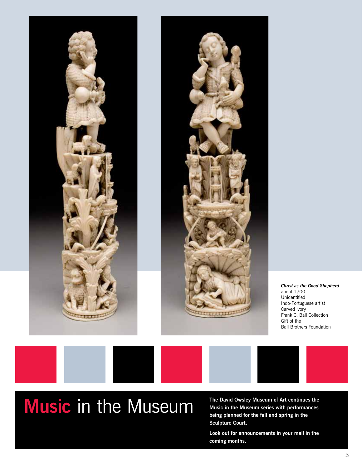

# **Music** in the Museum

**The David Owsley Museum of Art continues the Music in the Museum series with performances being planned for the fall and spring in the Sculpture Court.** 

**Look out for announcements in your mail in the coming months.**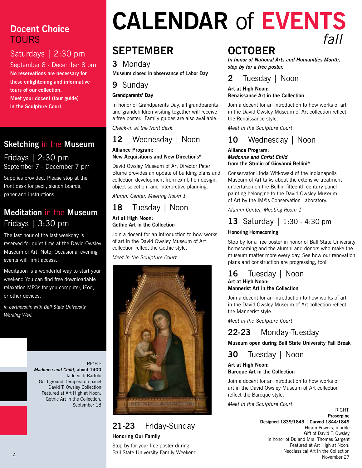# **Docent Choice TOURS**

## Saturdays | 2:30 pm

September 8 - December 8 pm **No reservations are necessary for these enlightening and informative tours of our collection. Meet your docent (tour guide)** 

**in the Sculpture Court.**

# **Sketching** in the **Museum**

#### Fridays | 2:30 pm September 7 - December 7 pm

Supplies provided. Please stop at the front desk for pecil, sketch boards, paper and instructions.

# **Meditation** in the **Museum** Fridays | 3:30 pm

The last hour of the last weekday is reserved for quiet time at the David Owsley Museum of Art. Note; Occasional evening events will limit access.

Meditation is a wonderful way to start your weekend You can find free downloadable relaxation MP3s for you computer, iPod, or other devices.

*In partnership with Ball State University Working Well.*



# **Calendar** of **Events** *fall*

# **september**

#### **3** Monday

**Museum closed in observance of Labor Day**

#### **9** Sunday

#### **Grandparents' Day**

In honor of Grandparents Day, all grandparents and grandchildren visiting together will receive a free poster. Family guides are also available.

*Check-in at the front desk.*

# **12** Wednesday | Noon

#### **Alliance Program: New Acquisitions and New Directions\***

David Owsley Museum of Art Director Peter Blume provides an update of building plans and collection development from exhibition design, object selection, and interpretive planning.

*Alumni Center, Meeting Room 1*

#### **18** Tuesday | Noon **Art at High Noon:**

**Gothic Art in the Collection**

Join a docent for an introduction to how works of art in the David Owsley Museum of Art collection reflect the Gothic style.

*Meet in the Sculpture Court*



# **21-23** Friday-Sunday

**Honoring Our Family**

Stop by for your free poster during Ball State University Family Weekend.

# **october**

*In honor of National Arts and Humanities Month, stop by for a free poster.*

## **2** Tuesday | Noon

#### **Art at High Noon:**

#### **Renaissance Art in the Collection**

Join a docent for an introduction to how works of art in the David Owsley Museum of Art collection reflect the Renaissance style.

*Meet in the Sculpture Court*

## **10** Wednesday | Noon

#### **Alliance Program:** *Madonna and Christ Child*  **from the Studio of Giovanni Bellini\***

Conservator Linda Witkowski of the Indianapolis Museum of Art talks about the extensive treatment undertaken on the Bellini fifteenth century panel painting belonging to the David Owsley Museum of Art by the IMA's Conservation Laboratory.

*Alumni Center, Meeting Room 1*

## **13** Saturday | 1:30 - 4:30 pm

#### **Honoring Homecoming**

Stop by for a free poster in honor of Ball State University homecoming and the alumni and donors who make the museum matter more every day. See how our renovation plans and construction are progressing, too!

#### **16** Tuesday | Noon **Art at High Noon: Mannerist Art in the Collection**

Join a docent for an introduction to how works of art in the David Owsley Museum of Art collection reflect the Mannerist style.

*Meet in the Sculpture Court*

## **22-23** Monday-Tuesday

**Museum open during Ball State University Fall Break**

**30** Tuesday | Noon

#### **Art at High Noon: Baroque Art in the Collection**

Join a docent for an introduction to how works of art in the David Owsley Museum of Art collection reflect the Baroque style.

*Meet in the Sculpture Court*

right: **Proserpine Designed 1839/1843 | Carved 1844/1849** Hiram Powers, marble Gift of David T. Owsley in honor of Dr. and Mrs. Thomas Sargent Featured at Art High at Noon: Neoclassical Art in the Collection November 27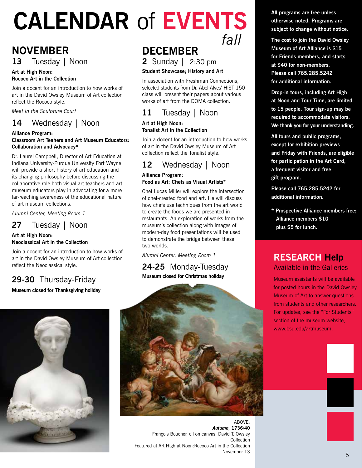# **Calendar** of **Events** *fall fall*

# **november 13** Tuesday | Noon

#### **Art at High Noon: Rococo Art in the Collection**

Join a docent for an introduction to how works of art in the David Owsley Museum of Art collection reflect the Rococo style.

*Meet in the Sculpture Court*

# **14** Wednesday | Noon

#### **Alliance Program:**

#### **Classroom Art Teahers and Art Museum Educators: Collaboration and Advocacy\***

Dr. Laurel Campbell, Director of Art Education at Indiana University-Purdue University Fort Wayne, will provide a short history of art education and its changing philosophy before discussing the collaborative role both visual art teachers and art museum educators play in advocating for a more far-reaching awareness of the educational nature of art museum collections.

*Alumni Center, Meeting Room 1*

## **27** Tuesday | Noon

#### **Art at High Noon: Neoclassical Art in the Collection**

Join a docent for an introduction to how works of art in the David Owsley Museum of Art collection reflect the Neoclassical style.

# **29-30** Thursday-Friday

**Museum closed for Thanksgiving holiday**



**2** Sunday | 2:30 pm

#### **Student Showcase; History and Art**

In association with Freshman Connections, selected students from Dr. Abel Alves' HIST 150 class will present their papers about various works of art from the DOMA collection.

# **11** Tuesday | Noon

#### **Art at High Noon: Tonalist Art in the Collection**

Join a docent for an introduction to how works of art in the David Owsley Museum of Art collection reflect the Tonalist style.

## **12** Wednesday | Noon

#### **Alliance Program: Food as Art: Chefs as Visual Artists\***

Chef Lucas Miller will explore the intersection of chef-created food and art. He will discuss how chefs use techniques from the art world to create the foods we are presented in restaurants. An exploration of works from the museum's collection along with images of modern-day food presentations will be used to demonstrate the bridge between these two worlds.

*Alumni Center, Meeting Room 1*

#### **24-25** Monday-Tuesday **Museum closed for Christmas holiday**



ABOVE: *Autumn,* **1736/40** François Boucher, oil on canvas, David T. Owsley Collection Featured at Art High at Noon:Rococo Art in the Collection November 13

**All programs are free unless otherwise noted. Programs are subject to change without notice.**

**The cost to join the David Owsley Museum of Art Alliance is \$15 for Friends members, and starts at \$40 for non-members. Please call 765.285.5242 for additional information.**

**Drop-in tours, including Art High at Noon and Tour Time, are limited to 15 people. Tour sign-up may be required to accommodate visitors. We thank you for your understanding.**

**All tours and public programs, except for exhibition previews and Friday with Friends, are eligible for participation in the Art Card, a frequent visitor and free gift program.**

**Please call 765.285.5242 for additional information.**

**\* Prospective Alliance members free; Alliance members \$10 plus \$5 for lunch.**

## **Research Help** Available in the Galleries

Museum assistants will be available for posted hours in the David Owsley Museum of Art to answer questions from students and other researchers. For updates, see the "For Students" section of the museum website. www.bsu.edu/artmuseum.

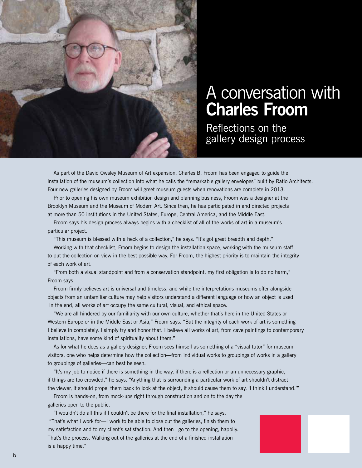

# A conversation with **Charles Froom**

Reflections on the gallery design process

As part of the David Owsley Museum of Art expansion, Charles B. Froom has been engaged to guide the installation of the museum's collection into what he calls the "remarkable gallery envelopes" built by Ratio Architects. Four new galleries designed by Froom will greet museum guests when renovations are complete in 2013.

Prior to opening his own museum exhibition design and planning business, Froom was a designer at the Brooklyn Museum and the Museum of Modern Art. Since then, he has participated in and directed projects at more than 50 institutions in the United States, Europe, Central America, and the Middle East.

Froom says his design process always begins with a checklist of all of the works of art in a museum's particular project.

"This museum is blessed with a heck of a collection," he says. "It's got great breadth and depth."

Working with that checklist, Froom begins to design the installation space, working with the museum staff to put the collection on view in the best possible way. For Froom, the highest priority is to maintain the integrity of each work of art.

"From both a visual standpoint and from a conservation standpoint, my first obligation is to do no harm," Froom says.

Froom firmly believes art is universal and timeless, and while the interpretations museums offer alongside objects from an unfamiliar culture may help visitors understand a different language or how an object is used, in the end, all works of art occupy the same cultural, visual, and ethical space.

"We are all hindered by our familiarity with our own culture, whether that's here in the United States or Western Europe or in the Middle East or Asia," Froom says. "But the integrity of each work of art is something I believe in completely. I simply try and honor that. I believe all works of art, from cave paintings to contemporary installations, have some kind of spirituality about them."

As for what he does as a gallery designer, Froom sees himself as something of a "visual tutor" for museum visitors, one who helps determine how the collection—from individual works to groupings of works in a gallery to groupings of galleries—can best be seen.

"It's my job to notice if there is something in the way, if there is a reflection or an unnecessary graphic, if things are too crowded," he says. "Anything that is surrounding a particular work of art shouldn't distract the viewer, it should propel them back to look at the object, it should cause them to say, 'I think I understand.'"

Froom is hands-on, from mock-ups right through construction and on to the day the galleries open to the public.

"I wouldn't do all this if I couldn't be there for the final installation," he says. "That's what I work for—I work to be able to close out the galleries, finish them to my satisfaction and to my client's satisfaction. And then I go to the opening, happily. That's the process. Walking out of the galleries at the end of a finished installation is a happy time."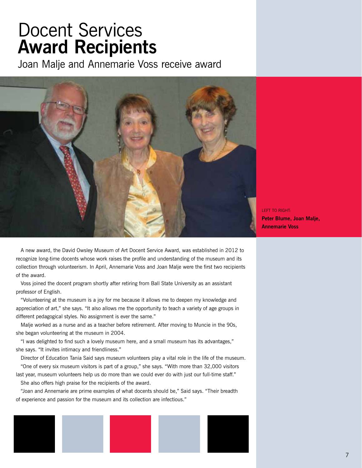# Docent Services **Award Recipients**

Joan Malje and Annemarie Voss receive award



left to right: **Peter Blume, Joan Malje, Annemarie Voss**

A new award, the David Owsley Museum of Art Docent Service Award, was established in 2012 to recognize long-time docents whose work raises the profile and understanding of the museum and its collection through volunteerism. In April, Annemarie Voss and Joan Malje were the first two recipients of the award.

Voss joined the docent program shortly after retiring from Ball State University as an assistant professor of English.

"Volunteering at the museum is a joy for me because it allows me to deepen my knowledge and appreciation of art," she says. "It also allows me the opportunity to teach a variety of age groups in different pedagogical styles. No assignment is ever the same."

 Malje worked as a nurse and as a teacher before retirement. After moving to Muncie in the 90s, she began volunteering at the museum in 2004.

"I was delighted to find such a lovely museum here, and a small museum has its advantages," she says. "It invites intimacy and friendliness."

 Director of Education Tania Said says museum volunteers play a vital role in the life of the museum. "One of every six museum visitors is part of a group," she says. "With more than 32,000 visitors

last year, museum volunteers help us do more than we could ever do with just our full-time staff." She also offers high praise for the recipients of the award.

"Joan and Annemarie are prime examples of what docents should be," Said says. "Their breadth of experience and passion for the museum and its collection are infectious."